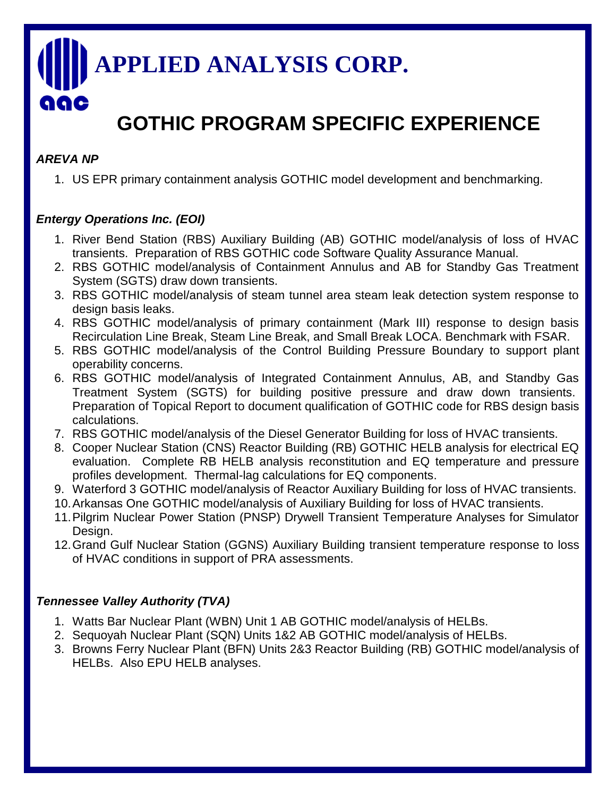# **APPLIED ANALYSIS CORP.** 919 C

# **GOTHIC PROGRAM SPECIFIC EXPERIENCE**

### *AREVA NP*

1. US EPR primary containment analysis GOTHIC model development and benchmarking.

## *Entergy Operations Inc. (EOI)*

- 1. River Bend Station (RBS) Auxiliary Building (AB) GOTHIC model/analysis of loss of HVAC transients. Preparation of RBS GOTHIC code Software Quality Assurance Manual.
- 2. RBS GOTHIC model/analysis of Containment Annulus and AB for Standby Gas Treatment System (SGTS) draw down transients.
- 3. RBS GOTHIC model/analysis of steam tunnel area steam leak detection system response to design basis leaks.
- 4. RBS GOTHIC model/analysis of primary containment (Mark III) response to design basis Recirculation Line Break, Steam Line Break, and Small Break LOCA. Benchmark with FSAR.
- 5. RBS GOTHIC model/analysis of the Control Building Pressure Boundary to support plant operability concerns.
- 6. RBS GOTHIC model/analysis of Integrated Containment Annulus, AB, and Standby Gas Treatment System (SGTS) for building positive pressure and draw down transients. Preparation of Topical Report to document qualification of GOTHIC code for RBS design basis calculations.
- 7. RBS GOTHIC model/analysis of the Diesel Generator Building for loss of HVAC transients.
- 8. Cooper Nuclear Station (CNS) Reactor Building (RB) GOTHIC HELB analysis for electrical EQ evaluation. Complete RB HELB analysis reconstitution and EQ temperature and pressure profiles development. Thermal-lag calculations for EQ components.
- 9. Waterford 3 GOTHIC model/analysis of Reactor Auxiliary Building for loss of HVAC transients.
- 10.Arkansas One GOTHIC model/analysis of Auxiliary Building for loss of HVAC transients.
- 11.Pilgrim Nuclear Power Station (PNSP) Drywell Transient Temperature Analyses for Simulator Design.
- 12.Grand Gulf Nuclear Station (GGNS) Auxiliary Building transient temperature response to loss of HVAC conditions in support of PRA assessments.

# *Tennessee Valley Authority (TVA)*

- 1. Watts Bar Nuclear Plant (WBN) Unit 1 AB GOTHIC model/analysis of HELBs.
- 2. Sequoyah Nuclear Plant (SQN) Units 1&2 AB GOTHIC model/analysis of HELBs.
- 3. Browns Ferry Nuclear Plant (BFN) Units 2&3 Reactor Building (RB) GOTHIC model/analysis of HELBs. Also EPU HELB analyses.